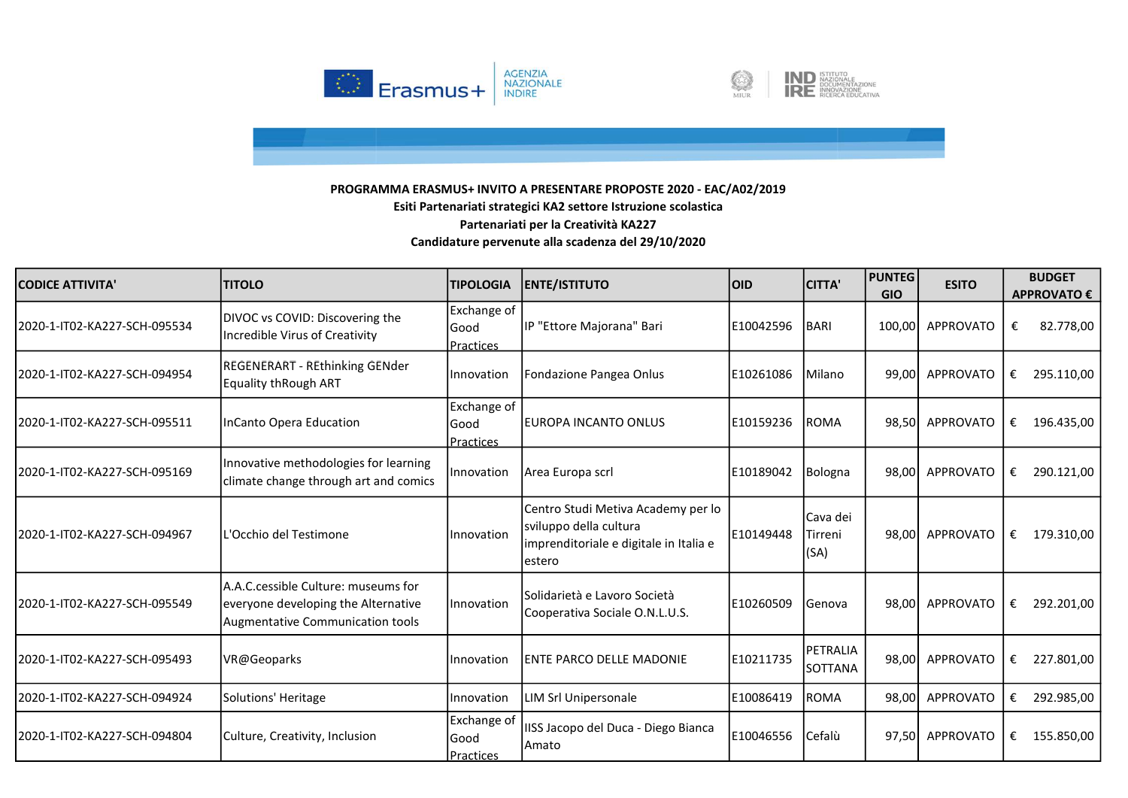



| <b>CODICE ATTIVITA'</b>      | <b>TITOLO</b>                                                                                                  | <b>TIPOLOGIA</b>                  | <b>ENTE/ISTITUTO</b>                                                                                              | <b>OID</b> | <b>CITTA'</b>               | <b>PUNTEG</b><br><b>GIO</b> | <b>ESITO</b>     | <b>BUDGET</b><br><b>APPROVATO €</b> |
|------------------------------|----------------------------------------------------------------------------------------------------------------|-----------------------------------|-------------------------------------------------------------------------------------------------------------------|------------|-----------------------------|-----------------------------|------------------|-------------------------------------|
| 2020-1-IT02-KA227-SCH-095534 | DIVOC vs COVID: Discovering the<br>Incredible Virus of Creativity                                              | Exchange of<br>Good<br>Practices  | IP "Ettore Majorana" Bari                                                                                         | E10042596  | BARI                        | 100,00                      | APPROVATO        | 82.778,00<br>€                      |
| 2020-1-IT02-KA227-SCH-094954 | REGENERART - REthinking GENder<br><b>Equality thRough ART</b>                                                  | Innovation                        | Fondazione Pangea Onlus                                                                                           | IE10261086 | Milano                      | 99.00                       | <b>APPROVATO</b> | €<br>295.110,00                     |
| 2020-1-IT02-KA227-SCH-095511 | InCanto Opera Education                                                                                        | Exchange of<br>lGood<br>Practices | <b>IEUROPA INCANTO ONLUS</b>                                                                                      | E10159236  | <b>ROMA</b>                 | 98,50                       | APPROVATO        | 196.435,00<br>€                     |
| 2020-1-IT02-KA227-SCH-095169 | Innovative methodologies for learning<br>climate change through art and comics                                 | Innovation                        | Area Europa scrl                                                                                                  | E10189042  | Bologna                     | 98,00                       | APPROVATO        | 290.121,00<br>€                     |
| 2020-1-IT02-KA227-SCH-094967 | L'Occhio del Testimone                                                                                         | Innovation                        | Centro Studi Metiva Academy per lo<br>sviluppo della cultura<br>imprenditoriale e digitale in Italia e<br>lestero | E10149448  | Cava dei<br>Tirreni<br>(SA) | 98.00                       | <b>APPROVATO</b> | €<br>179.310,00                     |
| 2020-1-IT02-KA227-SCH-095549 | A.A.C.cessible Culture: museums for<br>everyone developing the Alternative<br>Augmentative Communication tools | Innovation                        | lSolidarietà e Lavoro Società<br>Cooperativa Sociale O.N.L.U.S.                                                   | E10260509  | Genova                      | 98.00                       | <b>APPROVATO</b> | 292.201,00<br>€                     |
| 2020-1-IT02-KA227-SCH-095493 | VR@Geoparks                                                                                                    | Innovation                        | <b>ENTE PARCO DELLE MADONIE</b>                                                                                   | E10211735  | PETRALIA<br>SOTTANA         | 98,00                       | APPROVATO        | €<br>227.801,00                     |
| 2020-1-IT02-KA227-SCH-094924 | Solutions' Heritage                                                                                            | Innovation                        | LIM Srl Unipersonale                                                                                              | E10086419  | ROMA                        | 98,00                       | <b>APPROVATO</b> | 292.985,00<br>€                     |
| 2020-1-IT02-KA227-SCH-094804 | Culture, Creativity, Inclusion                                                                                 | Exchange of<br>lGood<br>Practices | IISS Jacopo del Duca - Diego Bianca<br>Amato                                                                      | E10046556  | Cefalù                      | 97,50                       | APPROVATO        | 155.850,00<br>€                     |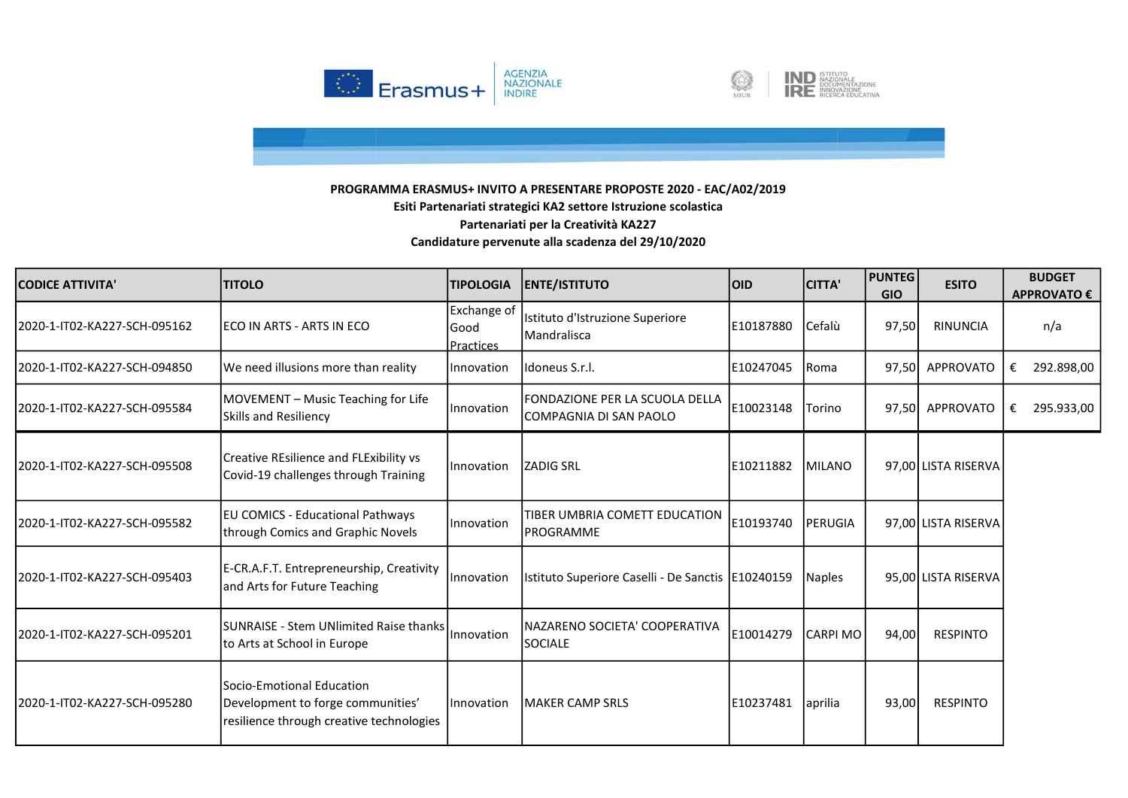



| CODICE ATTIVITA'              | <b>TITOLO</b>                                                                                               | <b>TIPOLOGIA</b>                 | <b>ENTE/ISTITUTO</b>                                      | loid      | <b>CITTA'</b>   | <b>PUNTEG</b><br><b>GIO</b> | <b>ESITO</b>        | <b>BUDGET</b><br><b>APPROVATO €</b> |
|-------------------------------|-------------------------------------------------------------------------------------------------------------|----------------------------------|-----------------------------------------------------------|-----------|-----------------|-----------------------------|---------------------|-------------------------------------|
| l2020-1-IT02-KA227-SCH-095162 | IECO IN ARTS - ARTS IN ECO                                                                                  | Exchange of<br>Good<br>Practices | Istituto d'Istruzione Superiore<br><b>Mandralisca</b>     | E10187880 | Cefalù          | 97,50                       | <b>RINUNCIA</b>     | n/a                                 |
| 2020-1-IT02-KA227-SCH-094850  | We need illusions more than reality                                                                         | Innovation                       | Ildoneus S.r.I.                                           | E10247045 | <b>Roma</b>     | 97,50                       | APPROVATO           | 292.898,00<br>€                     |
| 2020-1-IT02-KA227-SCH-095584  | MOVEMENT - Music Teaching for Life<br><b>Skills and Resiliency</b>                                          | Innovation                       | FONDAZIONE PER LA SCUOLA DELLA<br>ICOMPAGNIA DI SAN PAOLO | E10023148 | Torino          | 97,50                       | APPROVATO           | 295.933,00<br>€                     |
| 2020-1-IT02-KA227-SCH-095508  | Creative REsilience and FLExibility vs<br>Covid-19 challenges through Training                              | Innovation                       | <b>ZADIG SRL</b>                                          | E10211882 | <b>MILANO</b>   |                             | 97,00 LISTA RISERVA |                                     |
| 2020-1-IT02-KA227-SCH-095582  | EU COMICS - Educational Pathways<br>through Comics and Graphic Novels                                       | Innovation                       | TIBER UMBRIA COMETT EDUCATION<br><b>PROGRAMME</b>         | E10193740 | PERUGIA         |                             | 97,00 LISTA RISERVA |                                     |
| 2020-1-IT02-KA227-SCH-095403  | E-CR.A.F.T. Entrepreneurship, Creativity<br>and Arts for Future Teaching                                    | Innovation                       | Istituto Superiore Caselli - De Sanctis   E10240159       |           | Naples          |                             | 95,00 LISTA RISERVA |                                     |
| 2020-1-IT02-KA227-SCH-095201  | SUNRAISE - Stem UNlimited Raise thanks<br>to Arts at School in Europe                                       | Innovation                       | INAZARENO SOCIETA' COOPERATIVA<br>SOCIALE                 | E10014279 | <b>CARPI MO</b> | 94,00                       | <b>RESPINTO</b>     |                                     |
| 2020-1-IT02-KA227-SCH-095280  | lSocio-Emotional Education<br>Development to forge communities'<br>resilience through creative technologies | Innovation                       | <b>IMAKER CAMP SRLS</b>                                   | E10237481 | aprilia         | 93,00                       | <b>RESPINTO</b>     |                                     |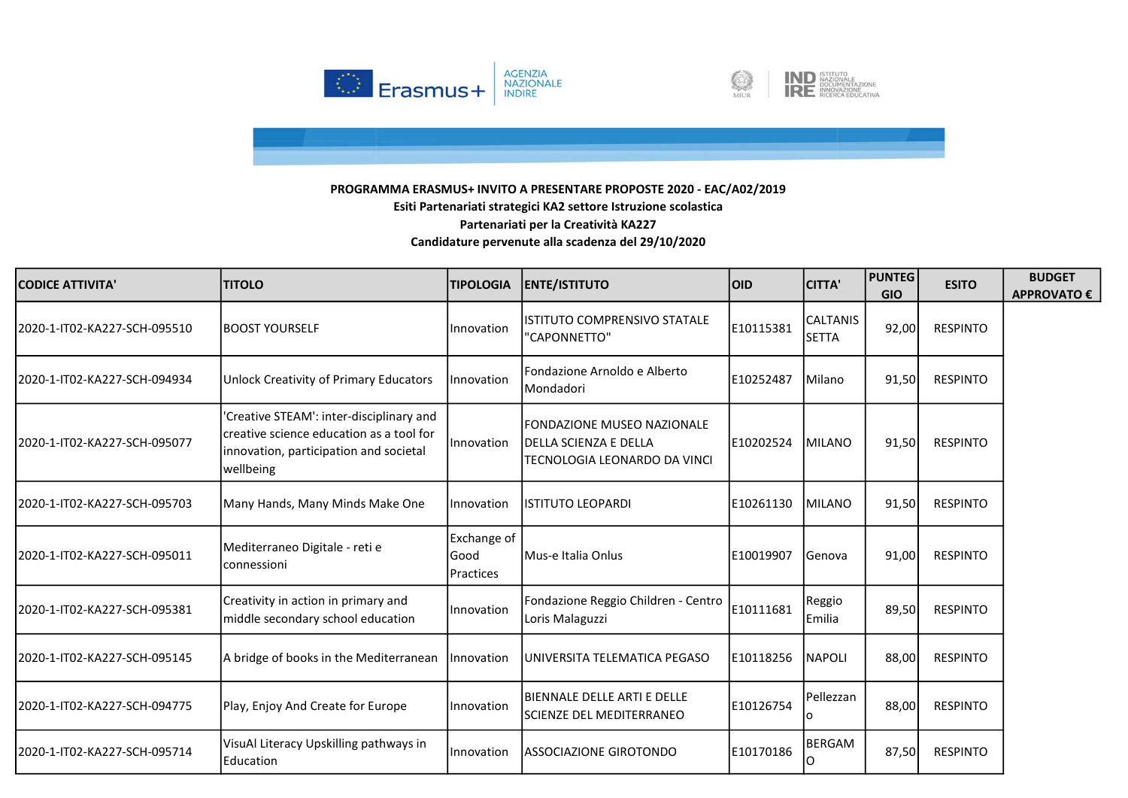



| <b>CODICE ATTIVITA'</b>       | <b>TITOLO</b>                                                                                                                               | <b>TIPOLOGIA</b>                        | <b>ENTE/ISTITUTO</b>                                                                       | <b>OID</b> | <b>CITTA'</b>                   | <b>PUNTEG</b><br><b>GIO</b> | <b>ESITO</b>    | <b>BUDGET</b><br><b>APPROVATO €</b> |
|-------------------------------|---------------------------------------------------------------------------------------------------------------------------------------------|-----------------------------------------|--------------------------------------------------------------------------------------------|------------|---------------------------------|-----------------------------|-----------------|-------------------------------------|
| l2020-1-IT02-KA227-SCH-095510 | IBOOST YOURSELF                                                                                                                             | Innovation                              | <b>ISTITUTO COMPRENSIVO STATALE</b><br>"CAPONNETTO"                                        | E10115381  | <b>CALTANIS</b><br><b>SETTA</b> | 92,00                       | <b>RESPINTO</b> |                                     |
| 2020-1-IT02-KA227-SCH-094934  | Unlock Creativity of Primary Educators                                                                                                      | Innovation                              | Fondazione Arnoldo e Alberto<br>Mondadori                                                  | E10252487  | Milano                          | 91,50                       | <b>RESPINTO</b> |                                     |
| l2020-1-IT02-KA227-SCH-095077 | 'Creative STEAM': inter-disciplinary and<br>creative science education as a tool for<br>innovation, participation and societal<br>wellbeing | Innovation                              | <b>FONDAZIONE MUSEO NAZIONALE</b><br>DELLA SCIENZA E DELLA<br>TECNOLOGIA LEONARDO DA VINCI | E10202524  | <b>MILANO</b>                   | 91,50                       | RESPINTO        |                                     |
| 2020-1-IT02-KA227-SCH-095703  | Many Hands, Many Minds Make One                                                                                                             | Innovation                              | <b>ISTITUTO LEOPARDI</b>                                                                   | E10261130  | <b>IMILANO</b>                  | 91,50                       | <b>RESPINTO</b> |                                     |
| l2020-1-IT02-KA227-SCH-095011 | Mediterraneo Digitale - reti e<br>connessioni                                                                                               | Exchange of<br>Good<br><b>Practices</b> | <b>IMus-e Italia Onlus</b>                                                                 | E10019907  | <b>Genova</b>                   | 91,00                       | <b>RESPINTO</b> |                                     |
| 2020-1-IT02-KA227-SCH-095381  | Creativity in action in primary and<br>middle secondary school education                                                                    | Innovation                              | Fondazione Reggio Children - Centro<br>Loris Malaguzzi                                     | E10111681  | Reggio<br><b>Emilia</b>         | 89,50                       | <b>RESPINTO</b> |                                     |
| 2020-1-IT02-KA227-SCH-095145  | A bridge of books in the Mediterranean                                                                                                      | <i>Innovation</i>                       | UNIVERSITA TELEMATICA PEGASO                                                               | E10118256  | <b>NAPOLI</b>                   | 88,00                       | <b>RESPINTO</b> |                                     |
| l2020-1-IT02-KA227-SCH-094775 | Play, Enjoy And Create for Europe                                                                                                           | Innovation                              | IBIENNALE DELLE ARTI E DELLE<br>SCIENZE DEL MEDITERRANEO                                   | E10126754  | Pellezzan                       | 88,00                       | <b>RESPINTO</b> |                                     |
| l2020-1-IT02-KA227-SCH-095714 | VisuAl Literacy Upskilling pathways in<br>Education                                                                                         | Innovation                              | ASSOCIAZIONE GIROTONDO                                                                     | E10170186  | BERGAM<br>Ω                     | 87,50                       | <b>RESPINTO</b> |                                     |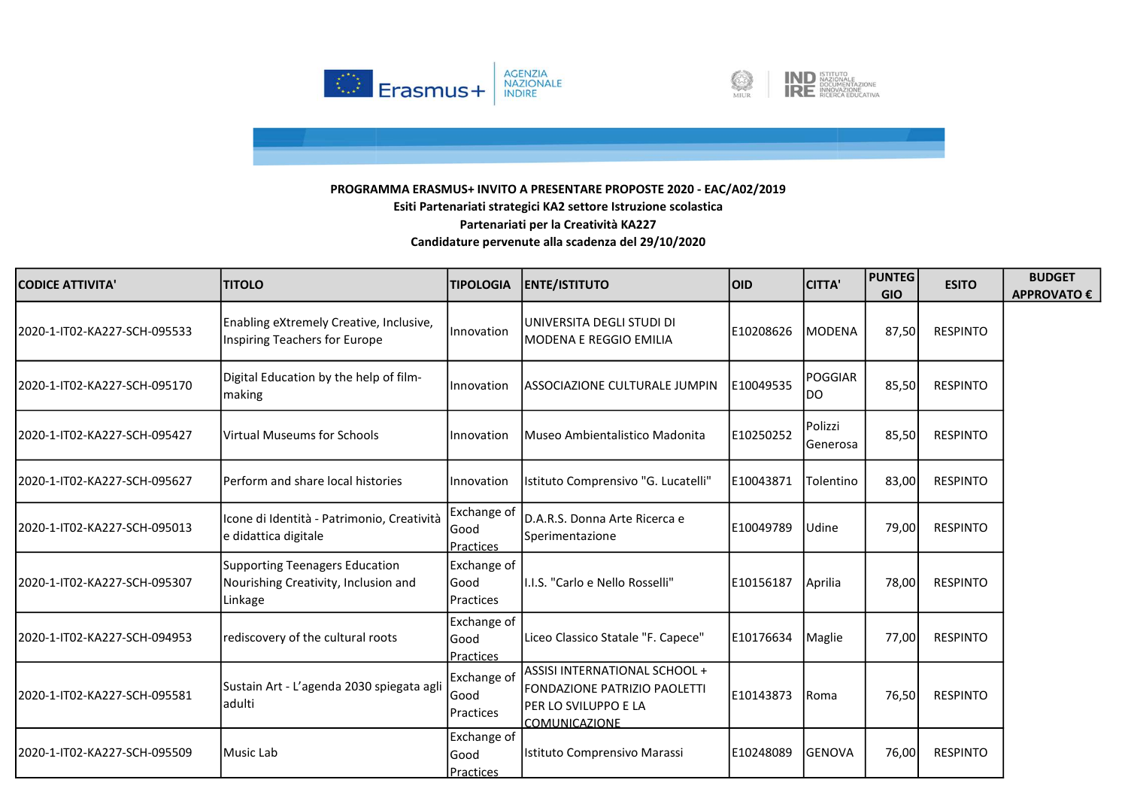



| <b>CODICE ATTIVITA'</b>       | <b>ITITOLO</b>                                                                    | <b>TIPOLOGIA</b>                          | <b>ENTE/ISTITUTO</b>                                                                                                 | loid       | <b>CITTA'</b>         | <b>PUNTEG</b><br><b>GIO</b> | <b>ESITO</b>    | <b>BUDGET</b><br><b>APPROVATO €</b> |
|-------------------------------|-----------------------------------------------------------------------------------|-------------------------------------------|----------------------------------------------------------------------------------------------------------------------|------------|-----------------------|-----------------------------|-----------------|-------------------------------------|
| l2020-1-IT02-KA227-SCH-095533 | Enabling eXtremely Creative, Inclusive,<br>Inspiring Teachers for Europe          | <b>Innovation</b>                         | UNIVERSITA DEGLI STUDI DI<br>MODENA E REGGIO EMILIA                                                                  | E10208626  | <b>MODENA</b>         | 87,50                       | <b>RESPINTO</b> |                                     |
| 2020-1-IT02-KA227-SCH-095170  | Digital Education by the help of film-<br>making                                  | Innovation                                | ASSOCIAZIONE CULTURALE JUMPIN                                                                                        | E10049535  | <b>POGGIAR</b><br>IDO | 85,50                       | <b>RESPINTO</b> |                                     |
| 2020-1-IT02-KA227-SCH-095427  | lVirtual Museums for Schools                                                      | <b>Innovation</b>                         | Museo Ambientalistico Madonita                                                                                       | E10250252  | Polizzi<br>Generosa   | 85,50                       | <b>RESPINTO</b> |                                     |
| 2020-1-IT02-KA227-SCH-095627  | lPerform and share local histories                                                | Innovation                                | Istituto Comprensivo "G. Lucatelli"                                                                                  | E10043871  | Tolentino             | 83,00                       | <b>RESPINTO</b> |                                     |
| 2020-1-IT02-KA227-SCH-095013  | Icone di Identità - Patrimonio, Creatività<br>e didattica digitale                | Exchange of<br>lGood<br>Practices         | D.A.R.S. Donna Arte Ricerca e<br>Sperimentazione                                                                     | E10049789  | Udine                 | 79,00                       | <b>RESPINTO</b> |                                     |
| l2020-1-IT02-KA227-SCH-095307 | Supporting Teenagers Education<br>Nourishing Creativity, Inclusion and<br>Linkage | Exchange of<br>lGood<br><b>IPractices</b> | II.I.S. "Carlo e Nello Rosselli"                                                                                     | lE10156187 | Aprilia               | 78,00                       | <b>RESPINTO</b> |                                     |
| 2020-1-IT02-KA227-SCH-094953  | rediscovery of the cultural roots                                                 | Exchange of<br>Good<br>Practices          | Liceo Classico Statale "F. Capece"                                                                                   | E10176634  | Maglie                | 77,00                       | <b>RESPINTO</b> |                                     |
| 2020-1-IT02-KA227-SCH-095581  | Sustain Art - L'agenda 2030 spiegata agli<br>ladulti                              | Exchange of<br>lGood<br><b>Practices</b>  | ASSISI INTERNATIONAL SCHOOL +<br><b>FONDAZIONE PATRIZIO PAOLETTI</b><br>PER LO SVILUPPO E LA<br><b>COMUNICAZIONE</b> | E10143873  | <b>Roma</b>           | 76,50                       | <b>RESPINTO</b> |                                     |
| 2020-1-IT02-KA227-SCH-095509  | Music Lab                                                                         | Exchange of<br>lGood<br><b>Practices</b>  | Istituto Comprensivo Marassi                                                                                         | E10248089  | <b>GENOVA</b>         | 76,00                       | <b>RESPINTO</b> |                                     |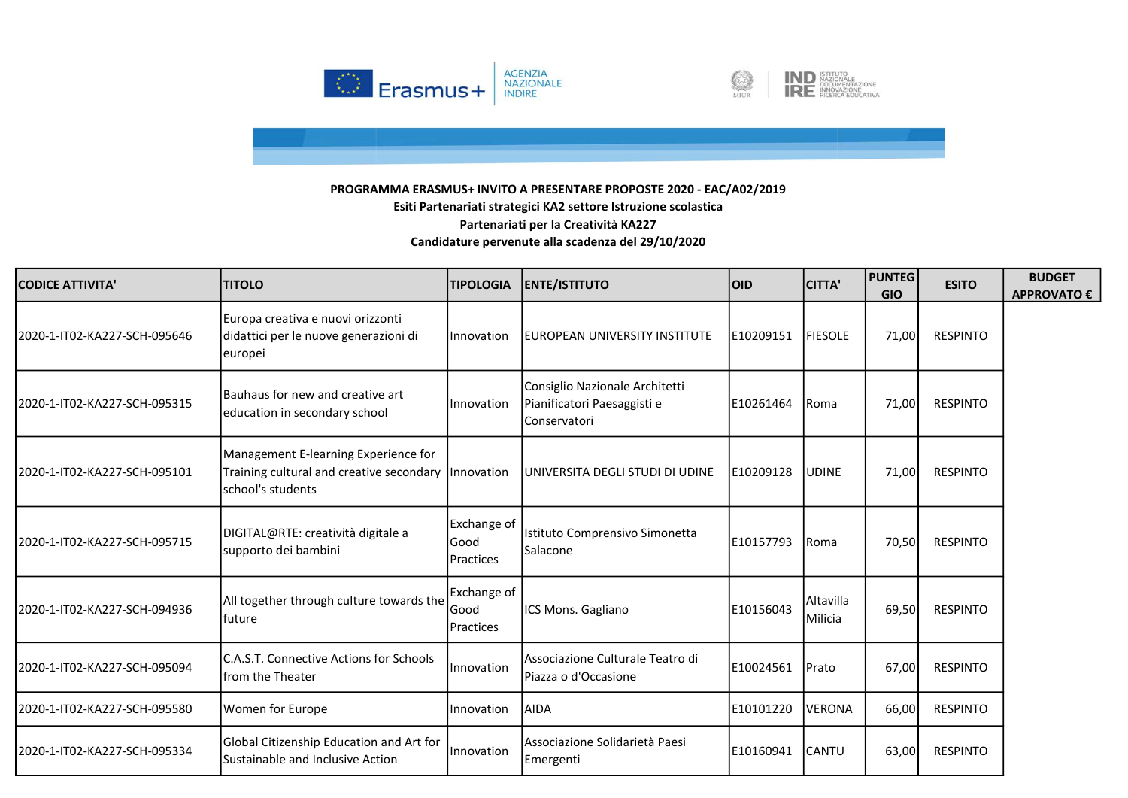



| <b>CODICE ATTIVITA'</b>      | <b>TITOLO</b>                                                                                                      | <b>TIPOLOGIA</b>                         | <b>ENTE/ISTITUTO</b>                                                          | loid.     | <b>CITTA'</b>               | <b>PUNTEG</b><br><b>GIO</b> | <b>ESITO</b>    | <b>BUDGET</b><br><b>APPROVATO €</b> |
|------------------------------|--------------------------------------------------------------------------------------------------------------------|------------------------------------------|-------------------------------------------------------------------------------|-----------|-----------------------------|-----------------------------|-----------------|-------------------------------------|
| 2020-1-IT02-KA227-SCH-095646 | Europa creativa e nuovi orizzonti<br>didattici per le nuove generazioni di<br>europei                              | Innovation                               | EUROPEAN UNIVERSITY INSTITUTE                                                 | E10209151 | <b>FIESOLE</b>              | 71,00                       | <b>RESPINTO</b> |                                     |
| 2020-1-IT02-KA227-SCH-095315 | Bauhaus for new and creative art<br>education in secondary school                                                  | Innovation                               | Consiglio Nazionale Architetti<br>Pianificatori Paesaggisti e<br>Conservatori | E10261464 | <b>Roma</b>                 | 71,00                       | <b>RESPINTO</b> |                                     |
| 2020-1-IT02-KA227-SCH-095101 | Management E-learning Experience for<br>Training cultural and creative secondary   Innovation<br>school's students |                                          | UNIVERSITA DEGLI STUDI DI UDINE                                               | E10209128 | <b>UDINE</b>                | 71,00                       | <b>RESPINTO</b> |                                     |
| 2020-1-IT02-KA227-SCH-095715 | DIGITAL@RTE: creatività digitale a<br>supporto dei bambini                                                         | Exchange of<br>lGood<br><b>Practices</b> | Istituto Comprensivo Simonetta<br><b>Salacone</b>                             | E10157793 | Roma                        | 70,50                       | <b>RESPINTO</b> |                                     |
| 2020-1-IT02-KA227-SCH-094936 | All together through culture towards the<br>lfuture                                                                | Exchange of<br>lGood<br>Practices        | ICS Mons. Gagliano                                                            | E10156043 | <b>Altavilla</b><br>Milicia | 69,50                       | <b>RESPINTO</b> |                                     |
| 2020-1-IT02-KA227-SCH-095094 | C.A.S.T. Connective Actions for Schools<br><b>Ifrom the Theater</b>                                                | Innovation                               | Associazione Culturale Teatro di<br>Piazza o d'Occasione                      | E10024561 | <b>IPrato</b>               | 67,00                       | <b>RESPINTO</b> |                                     |
| 2020-1-IT02-KA227-SCH-095580 | Women for Europe                                                                                                   | Innovation                               | <b>AIDA</b>                                                                   | E10101220 | VERONA                      | 66,00                       | <b>RESPINTO</b> |                                     |
| 2020-1-IT02-KA227-SCH-095334 | Global Citizenship Education and Art for<br>Sustainable and Inclusive Action                                       | Innovation                               | lAssociazione Solidarietà Paesi<br>Emergenti                                  | E10160941 | <b>CANTU</b>                | 63,00                       | <b>RESPINTO</b> |                                     |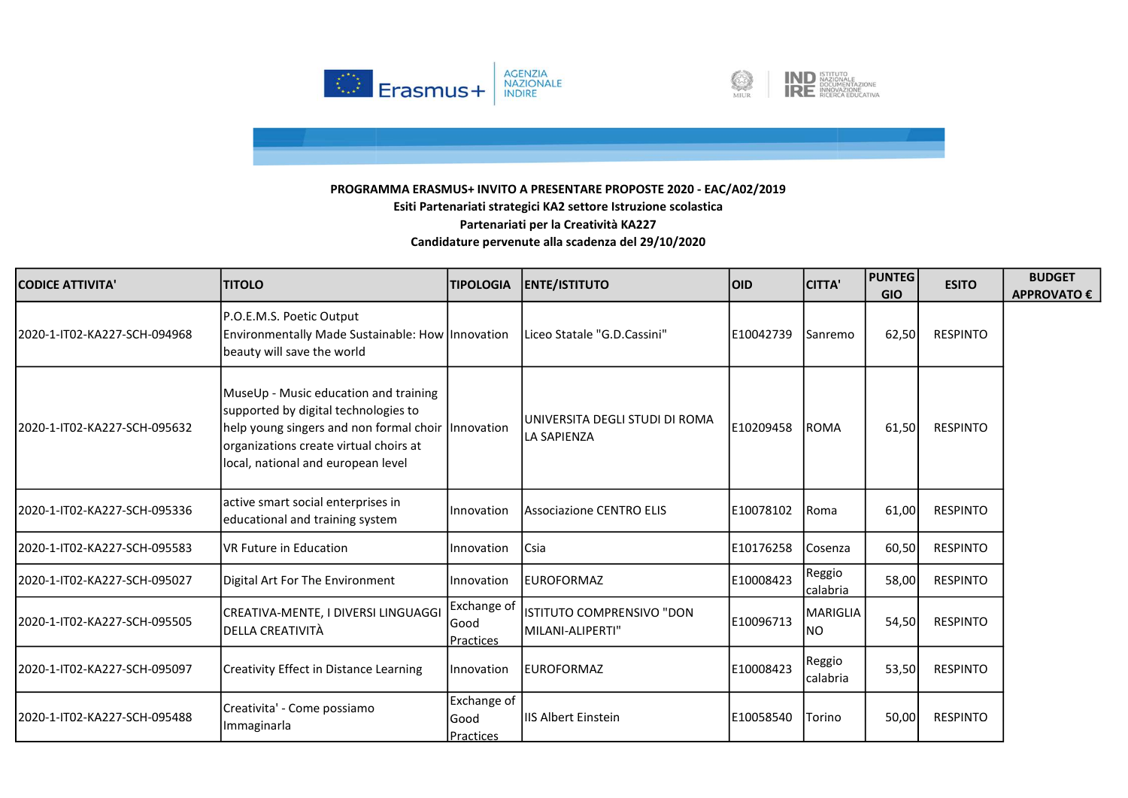



| <b>CODICE ATTIVITA'</b>      | <b>TITOLO</b>                                                                                                                                                                                                         | <b>TIPOLOGIA</b>                         | <b>ENTE/ISTITUTO</b>                                 | <b>OID</b> | <b>CITTA'</b>              | <b>PUNTEG</b><br><b>GIO</b> | <b>ESITO</b>    | <b>BUDGET</b><br><b>APPROVATO €</b> |
|------------------------------|-----------------------------------------------------------------------------------------------------------------------------------------------------------------------------------------------------------------------|------------------------------------------|------------------------------------------------------|------------|----------------------------|-----------------------------|-----------------|-------------------------------------|
| 2020-1-IT02-KA227-SCH-094968 | P.O.E.M.S. Poetic Output<br>Environmentally Made Sustainable: How Innovation<br>beauty will save the world                                                                                                            |                                          | Liceo Statale "G.D.Cassini"                          | E10042739  | Sanremo                    | 62,50                       | <b>RESPINTO</b> |                                     |
| 2020-1-IT02-KA227-SCH-095632 | MuseUp - Music education and training<br>supported by digital technologies to<br>help young singers and non formal choir   Innovation<br>organizations create virtual choirs at<br>local, national and european level |                                          | UNIVERSITA DEGLI STUDI DI ROMA<br><b>LA SAPIENZA</b> | E10209458  | <b>ROMA</b>                | 61,50                       | <b>RESPINTO</b> |                                     |
| 2020-1-IT02-KA227-SCH-095336 | active smart social enterprises in<br>educational and training system                                                                                                                                                 | <b>I</b> Innovation                      | <b>Associazione CENTRO ELIS</b>                      | E10078102  | <b>Roma</b>                | 61,00                       | <b>RESPINTO</b> |                                     |
| 2020-1-IT02-KA227-SCH-095583 | VR Future in Education                                                                                                                                                                                                | Innovation                               | Csia                                                 | E10176258  | Cosenza                    | 60,50                       | <b>RESPINTO</b> |                                     |
| 2020-1-IT02-KA227-SCH-095027 | Digital Art For The Environment                                                                                                                                                                                       | Innovation                               | <b>EUROFORMAZ</b>                                    | E10008423  | Reggio<br>calabria         | 58,00                       | <b>RESPINTO</b> |                                     |
| 2020-1-IT02-KA227-SCH-095505 | CREATIVA-MENTE, I DIVERSI LINGUAGGI<br>DELLA CREATIVITÀ                                                                                                                                                               | Exchange of<br>lGood<br><b>Practices</b> | ISTITUTO COMPRENSIVO "DON<br>MILANI-ALIPERTI"        | E10096713  | MARIGLIA<br>INO.           | 54,50                       | <b>RESPINTO</b> |                                     |
| 2020-1-IT02-KA227-SCH-095097 | Creativity Effect in Distance Learning                                                                                                                                                                                | <b>Innovation</b>                        | <b>EUROFORMAZ</b>                                    | E10008423  | <b>Reggio</b><br>lcalabria | 53,50                       | <b>RESPINTO</b> |                                     |
| 2020-1-IT02-KA227-SCH-095488 | Creativita' - Come possiamo<br>Immaginarla                                                                                                                                                                            | Exchange of<br>lGood<br><b>Practices</b> | <b>IIS Albert Einstein</b>                           | E10058540  | Torino                     | 50,00                       | <b>RESPINTO</b> |                                     |